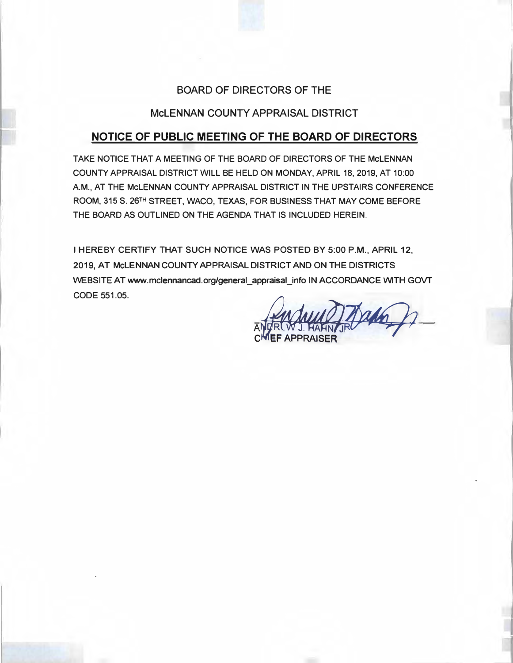# **BOARD OF DIRECTORS OF THE**

## **McLENNAN COUNTY APPRAISAL DISTRICT**

# **NOTICE OF PUBLIC MEETING OF THE BOARD OF DIRECTORS**

**TAKE NOTICE THAT A MEETING OF THE BOARD OF DIRECTORS OF THE McLENNAN COUNTY APPRAISAL DISTRICT WILL BE HELD ON MONDAY, APRIL 18, 2019, AT 10:00 AM., AT THE McLENNAN COUNTY APPRAISAL DISTRICT IN THE UPSTAIRS CONFERENCE ROOM, 315 S. 26TH STREET, WACO, TEXAS, FOR BUSINESS THAT MAY COME BEFORE THE BOARD AS OUTLINED ON THE AGENDA THAT IS INCLUDED HEREIN.** 

**I HEREBY CERTIFY THAT SUCH NOTICE WAS POSTED BY 5:00 P.M., APRIL 12, 2019, AT McLENNAN COUNTY APPRAISAL DISTRICT AND ON THE DISTRICTS VVEBSITE AT www.mclennancad.org/general\_appraisal\_info IN ACCORDANCE WITH** *GOVT* **CODE 551.05.** 

**A** CWEF APPRAISER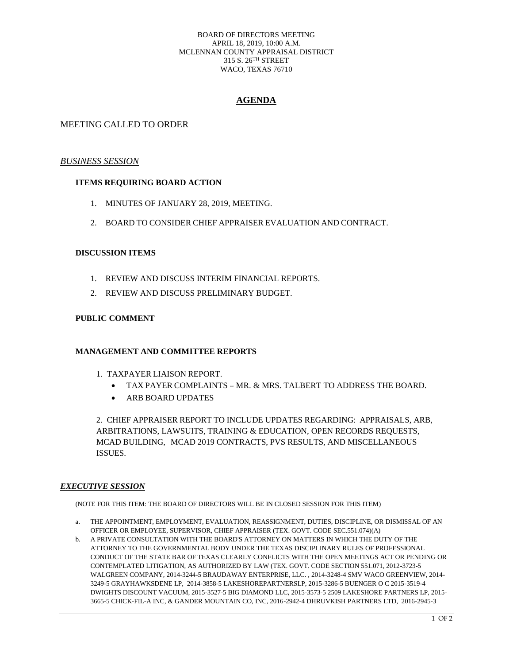#### BOARD OF DIRECTORS MEETING APRIL 18, 2019, 10:00 A.M. MCLENNAN COUNTY APPRAISAL DISTRICT 315 S. 26TH STREET WACO, TEXAS 76710

## **AGENDA**

### MEETING CALLED TO ORDER

### *BUSINESS SESSION*

### **ITEMS REQUIRING BOARD ACTION**

- 1. MINUTES OF JANUARY 28, 2019, MEETING.
- 2. BOARD TO CONSIDER CHIEF APPRAISER EVALUATION AND CONTRACT.

#### **DISCUSSION ITEMS**

- 1. REVIEW AND DISCUSS INTERIM FINANCIAL REPORTS.
- 2. REVIEW AND DISCUSS PRELIMINARY BUDGET.

#### **PUBLIC COMMENT**

### **MANAGEMENT AND COMMITTEE REPORTS**

- 1. TAXPAYER LIAISON REPORT.
	- TAX PAYER COMPLAINTS MR. & MRS. TALBERT TO ADDRESS THE BOARD.
	- ARB BOARD UPDATES

2. CHIEF APPRAISER REPORT TO INCLUDE UPDATES REGARDING: APPRAISALS, ARB, ARBITRATIONS, LAWSUITS, TRAINING & EDUCATION, OPEN RECORDS REQUESTS, MCAD BUILDING, MCAD 2019 CONTRACTS, PVS RESULTS, AND MISCELLANEOUS ISSUES.

#### *EXECUTIVE SESSION*

(NOTE FOR THIS ITEM: THE BOARD OF DIRECTORS WILL BE IN CLOSED SESSION FOR THIS ITEM)

- a. THE APPOINTMENT, EMPLOYMENT, EVALUATION, REASSIGNMENT, DUTIES, DISCIPLINE, OR DISMISSAL OF AN OFFICER OR EMPLOYEE, SUPERVISOR, CHIEF APPRAISER (TEX. GOVT. CODE SEC.551.074)(A)
- b. A PRIVATE CONSULTATION WITH THE BOARD'S ATTORNEY ON MATTERS IN WHICH THE DUTY OF THE ATTORNEY TO THE GOVERNMENTAL BODY UNDER THE TEXAS DISCIPLINARY RULES OF PROFESSIONAL CONDUCT OF THE STATE BAR OF TEXAS CLEARLY CONFLICTS WITH THE OPEN MEETINGS ACT OR PENDING OR CONTEMPLATED LITIGATION, AS AUTHORIZED BY LAW (TEX. GOVT. CODE SECTION 551.071, 2012-3723-5 WALGREEN COMPANY, 2014-3244-5 BRAUDAWAY ENTERPRISE, LLC. , 2014-3248-4 SMV WACO GREENVIEW, 2014- 3249-5 GRAYHAWKSDENE LP, 2014-3858-5 LAKESHOREPARTNERSLP, 2015-3286-5 BUENGER O C 2015-3519-4 DWIGHTS DISCOUNT VACUUM, 2015-3527-5 BIG DIAMOND LLC, 2015-3573-5 2509 LAKESHORE PARTNERS LP, 2015- 3665-5 CHICK-FIL-A INC, & GANDER MOUNTAIN CO, INC, 2016-2942-4 DHRUVKISH PARTNERS LTD, 2016-2945-3